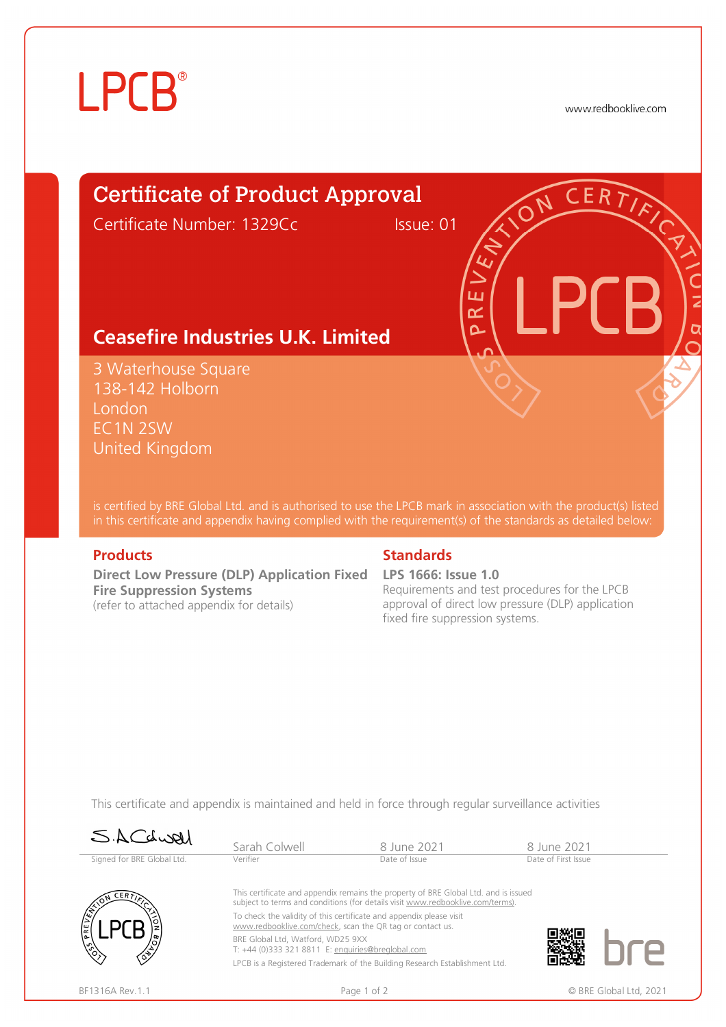# **LPCB**®

www.redbooklive.com

# Certificate of Product Approval

Certificate Number: 1329Cc Issue: 01

ய œ  $\overline{\mathbf{C}}$ 

## **Ceasefire Industries U.K. Limited**

3 Waterhouse Square 138-142 Holborn **London** EC1N 2SW United Kingdom

is certified by BRE Global Ltd. and is authorised to use the LPCB mark in association with the product(s) listed in this certificate and appendix having complied with the requirement(s) of the standards as detailed below:

**Direct Low Pressure (DLP) Application Fixed LPS 1666: Issue 1.0 Fire Suppression Systems**  (refer to attached appendix for details)

### **Products Standards**

Requirements and test procedures for the LPCB approval of direct low pressure (DLP) application fixed fire suppression systems.

This certificate and appendix is maintained and held in force through regular surveillance activities

| SACLUAL                    | Sarah Colwell                                                                                                                                                         | 8 June 2021                                                                | 8 June 2021         |  |  |
|----------------------------|-----------------------------------------------------------------------------------------------------------------------------------------------------------------------|----------------------------------------------------------------------------|---------------------|--|--|
| Signed for BRE Global Ltd. | Verifier                                                                                                                                                              | Date of Issue                                                              | Date of First Issue |  |  |
| CER <sub>T</sub><br>PRE    | This certificate and appendix remains the property of BRE Global Ltd. and is issued<br>subject to terms and conditions (for details visit www.redbooklive.com/terms). |                                                                            |                     |  |  |
|                            | To check the validity of this certificate and appendix please visit<br>www.redbooklive.com/check, scan the QR tag or contact us.                                      |                                                                            |                     |  |  |
|                            | BRE Global Ltd, Watford, WD25 9XX<br>T: +44 (0)333 321 8811 E: enquiries@breglobal.com                                                                                |                                                                            |                     |  |  |
|                            |                                                                                                                                                                       | LPCB is a Registered Trademark of the Building Research Establishment Ltd. |                     |  |  |
|                            |                                                                                                                                                                       |                                                                            |                     |  |  |



BF1316A Rev.1.1 **Page 1 of 2** Page 1 of 2 © BRE Global Ltd, 2021